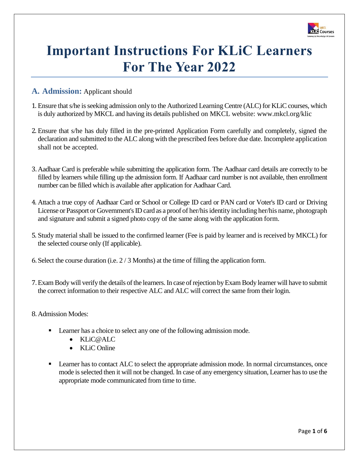

# **Important Instructions For KLiC Learners For The Year 2022**

## **A. Admission:** Applicant should

- 1. Ensure that s/he is seeking admission only to the Authorized Learning Centre (ALC) for KLiC courses, which is duly authorized by MKCL and having its details published on MKCL website: [www.mkcl.org/klic](http://www.mkcl.org/klic)
- 2. Ensure that s/he has duly filled in the pre-printed Application Form carefully and completely, signed the declaration and submitted to the ALC along with the prescribed fees before due date. Incomplete application shall not be accepted.
- 3. Aadhaar Card is preferable while submitting the application form. The Aadhaar card details are correctly to be filled by learners while filling up the admission form. If Aadhaar card number is not available, then enrollment number can be filled which is available after application for Aadhaar Card.
- 4. Attach a true copy of Aadhaar Card or School or College ID card or PAN card or Voter's ID card or Driving License or Passport or Government's ID card as a proof of her/his identity including her/his name, photograph and signature and submit a signed photo copy of the same along with the application form.
- 5. Study material shall be issued to the confirmed learner (Fee is paid by learner and is received by MKCL) for the selected course only (If applicable).
- 6. Select the course duration (i.e. 2 / 3 Months) at the time of filling the application form.
- 7. Exam Body will verify the details of the learners. In case of rejection by Exam Body learner will have to submit the correct information to their respective ALC and ALC will correct the same from their login.
- 8. Admission Modes:
	- Learner has a choice to select any one of the following admission mode.
		- KLiC@ALC
		- KLiC Online
	- **Example 1** Learner has to contact ALC to select the appropriate admission mode. In normal circumstances, once mode is selected then it will not be changed. In case of any emergency situation, Learner has to use the appropriate mode communicated from time to time.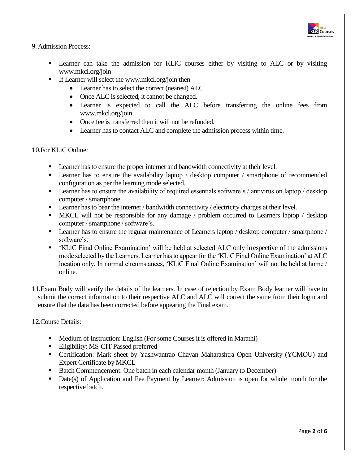

#### 9. Admission Process:

- Learner can take the admission for KLiC courses either by visiting to ALC or by visiting [www.mkcl.org/join](http://www.mkcl.org/join)
- **•** If Learner will select th[e www.mkcl.org/join](http://www.mkcl.org/join) then
	- Learner has to select the correct (nearest) ALC
	- Once ALC is selected, it cannot be changed.
	- Learner is expected to call the ALC before transferring the online fees from [www.mkcl.org/join](http://www.mkcl.org/join)
	- Once fee is transferred then it will not be refunded.
	- Learner has to contact ALC and complete the admission process within time.

#### 10.For KLiC Online:

- **•** Learner has to ensure the proper internet and bandwidth connectivity at their level.
- **Example 1** Learner has to ensure the availability laptop / desktop computer / smartphone of recommended configuration as per the learning mode selected.
- **EXECUTE:** Learner has to ensure the availability of required essentials software's / antivirus on laptop / desktop computer / smartphone.
- **•** Learner has to bear the internet / bandwidth connectivity / electricity charges at their level.
- MKCL will not be responsible for any damage / problem occurred to Learners laptop / desktop computer / smartphone / software's.
- **•** Learner has to ensure the regular maintenance of Learners laptop / desktop computer / smartphone / software's.
- 'KLiC Final Online Examination' will be held at selected ALC only irrespective of the admissions mode selected by the Learners. Learner has to appear for the 'KLiCFinal Online Examination' at ALC location only. In normal circumstances, 'KLiC Final Online Examination' will not be held at home / online.
- 11.Exam Body will verify the details of the learners. In case of rejection by Exam Body learner will have to submit the correct information to their respective ALC and ALC will correct the same from their login and ensure that the data has been corrected before appearing the Final exam.

12.Course Details:

- Medium of Instruction: English (For some Courses it is offered in Marathi)
- **Eligibility: MS-CIT Passed preferred**
- **•** Certification: Mark sheet by Yashwantrao Chavan Maharashtra Open University (YCMOU) and Expert Certificate by MKCL
- Batch Commencement: One batch in each calendar month (January to December)
- **•** Date(s) of Application and Fee Payment by Learner: Admission is open for whole month for the respective batch.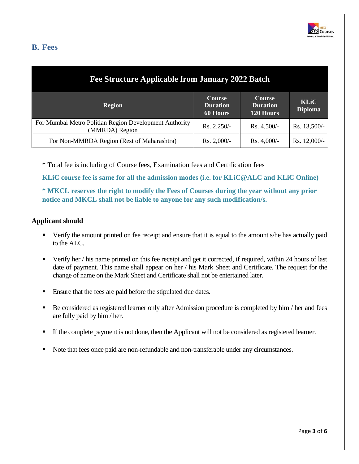

## **B. Fees**

| Fee Structure Applicable from January 2022 Batch                         |                                                     |                                               |                               |  |
|--------------------------------------------------------------------------|-----------------------------------------------------|-----------------------------------------------|-------------------------------|--|
| <b>Region</b>                                                            | <b>Course</b><br><b>Duration</b><br><b>60 Hours</b> | <b>Course</b><br><b>Duration</b><br>120 Hours | <b>KLiC</b><br><b>Diploma</b> |  |
| For Mumbai Metro Politian Region Development Authority<br>(MMRDA) Region | $Rs. 2,250/-$                                       | $Rs. 4,500/-$                                 | Rs. 13,500/-                  |  |
| For Non-MMRDA Region (Rest of Maharashtra)                               | $Rs. 2,000/-$                                       | $Rs. 4,000/-$                                 | Rs. 12,000/-                  |  |

\* Total fee is including of Course fees, Examination fees and Certification fees

**KLiC course fee is same for all the admission modes (i.e. for KLiC@ALC and KLiC Online)**

**\* MKCL reserves the right to modify the Fees of Courses during the year without any prior notice and MKCL shall not be liable to anyone for any such modification/s.**

#### **Applicant should**

- Verify the amount printed on fee receipt and ensure that it is equal to the amount s/he has actually paid to the ALC.
- Verify her / his name printed on this fee receipt and get it corrected, if required, within 24 hours of last date of payment. This name shall appear on her / his Mark Sheet and Certificate. The request for the change of name on the Mark Sheet and Certificate shall not be entertained later.
- Ensure that the fees are paid before the stipulated due dates.
- Be considered as registered learner only after Admission procedure is completed by him / her and fees are fully paid by him / her.
- If the complete payment is not done, then the Applicant will not be considered as registered learner.
- Note that fees once paid are non-refundable and non-transferable under any circumstances.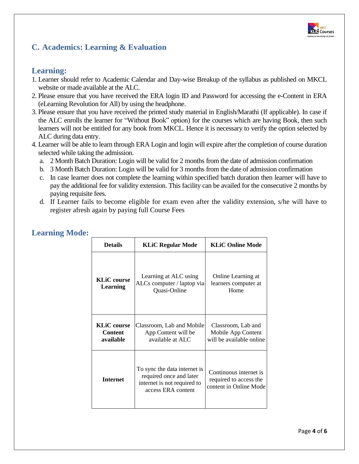

# **C. Academics: Learning & Evaluation**

## **Learning:**

- 1. Learner should refer to Academic Calendar and Day-wise Breakup of the syllabus as published on MKCL website or made available at the ALC.
- 2. Please ensure that you have received the ERA login ID and Password for accessing the e-Content in ERA (eLearning Revolution for All) by using the headphone.
- 3. Please ensure that you have received the printed study material in English/Marathi (If applicable). In case if the ALC enrolls the learner for "Without Book" option) for the courses which are having Book, then such learners will not be entitled for any book from MKCL. Hence it is necessary to verify the option selected by ALC during data entry.
- 4. Learner will be able to learn through ERA Login and login will expire after the completion of course duration selected while taking the admission.
	- a. 2 Month Batch Duration: Login will be valid for 2 months from the date of admission confirmation
	- b. 3 Month Batch Duration: Login will be valid for 3 months from the date of admission confirmation
	- c. In case learner does not complete the learning within specified batch duration then learner will have to pay the additional fee for validity extension. This facility can be availed for the consecutive 2 months by paying requisite fees.
	- d. If Learner fails to become eligible for exam even after the validity extension, s/he will have to register afresh again by paying full Course Fees

| <b>Details</b>                                    | <b>KLiC Regular Mode</b>                                                                                     | <b>KLiC Online Mode</b>                                                    |
|---------------------------------------------------|--------------------------------------------------------------------------------------------------------------|----------------------------------------------------------------------------|
| <b>KLiC</b> course<br>Learning                    | Learning at ALC using<br>ALCs computer / laptop via<br>Quasi-Online                                          | Online Learning at<br>learners computer at<br>Home                         |
| <b>KLiC</b> course<br><b>Content</b><br>available | Classroom, Lab and Mobile<br>App Content will be<br>available at ALC                                         | Classroom, Lab and<br>Mobile App Content<br>will be available online       |
| <b>Internet</b>                                   | To sync the data internet is<br>required once and later<br>internet is not required to<br>access ERA content | Continuous internet is<br>required to access the<br>content in Online Mode |

## **Learning Mode:**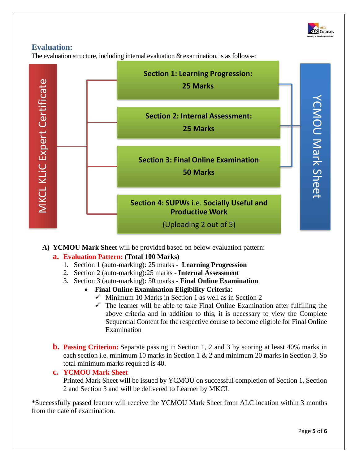

## **Evaluation:**

The evaluation structure, including internal evaluation & examination, is as follows-:



**A) YCMOU Mark Sheet** will be provided based on below evaluation pattern:

## **a. Evaluation Pattern: (Total 100 Marks)**

- 1. Section 1 (auto-marking): 25 marks **Learning Progression**
- 2. Section 2 (auto-marking):25 marks **Internal Assessment**
- 3. Section 3 (auto-marking): 50 marks **Final Online Examination**
	- **Final Online Examination Eligibility Criteria**:
		- $\checkmark$  Minimum 10 Marks in Section 1 as well as in Section 2
		- $\checkmark$  The learner will be able to take Final Online Examination after fulfilling the above criteria and in addition to this, it is necessary to view the Complete Sequential Content for the respective course to become eligible for Final Online Examination
- **b. Passing Criterion:** Separate passing in Section 1, 2 and 3 by scoring at least 40% marks in each section i.e. minimum 10 marks in Section 1 & 2 and minimum 20 marks in Section 3. So total minimum marks required is 40.

#### **c. YCMOU Mark Sheet**

Printed Mark Sheet will be issued by YCMOU on successful completion of Section 1, Section 2 and Section 3 and will be delivered to Learner by MKCL

\*Successfully passed learner will receive the YCMOU Mark Sheet from ALC location within 3 months